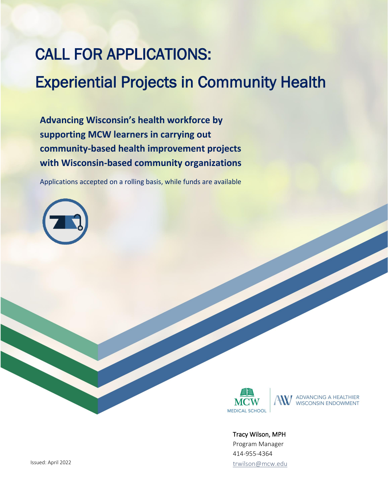# CALL FOR APPLICATIONS: Experiential Projects in Community Health

**Advancing Wisconsin's health workforce by supporting MCW learners in carrying out community-based health improvement projects with Wisconsin-based community organizations**

Applications accepted on a rolling basis, while funds are available





ADVANCING A HEALTHIER<br>WISCONSIN ENDOWMENT

Tracy Wilson, MPH Program Manager 414-955-4364 [trwilson@mcw.edu](mailto:trwilson@mcw.edu)

Issued: April 2022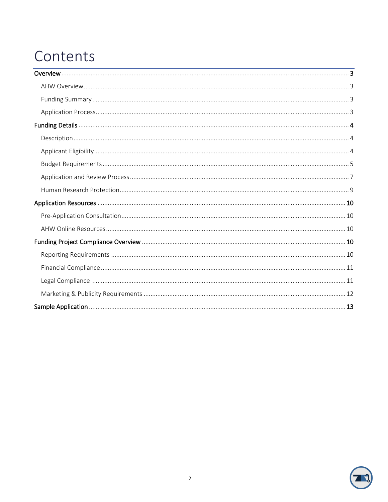## Contents

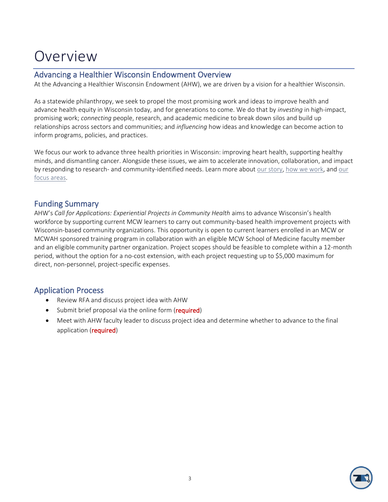## Overview

## Advancing a Healthier Wisconsin Endowment Overview

At the Advancing a Healthier Wisconsin Endowment (AHW), we are driven by a vision for a healthier Wisconsin.

As a statewide philanthropy, we seek to propel the most promising work and ideas to improve health and advance health equity in Wisconsin today, and for generations to come. We do that by *investing* in high-impact, promising work; *connecting* people, research, and academic medicine to break down silos and build up relationships across sectors and communities; and *influencing* how ideas and knowledge can become action to inform programs, policies, and practices.

We focus our work to advance three health priorities in Wisconsin: improving heart health, supporting healthy minds, and dismantling cancer. Alongside these issues, we aim to accelerate innovation, collaboration, and impact by responding to research- and community-identified needs. Learn more about [our story,](https://ahwendowment.org/AHW/Who-We-Are/Our-Story.htm) [how we work,](https://ahwendowment.org/AHW/What-We-Do/How-We-Work.htm) and our [focus areas.](https://ahwendowment.org/AHW/What-We-Do/Our-Focus.htm)

## Funding Summary

AHW's *Call for Applications: Experiential Projects in Community Health* aims to advance Wisconsin's health workforce by supporting current MCW learners to carry out community-based health improvement projects with Wisconsin-based community organizations. This opportunity is open to current learners enrolled in an MCW or MCWAH sponsored training program in collaboration with an eligible MCW School of Medicine faculty member and an eligible community partner organization. Project scopes should be feasible to complete within a 12-month period, without the option for a no-cost extension, with each project requesting up to \$5,000 maximum for direct, non-personnel, project-specific expenses.

## Application Process

- Review RFA and discuss project idea with AHW
- Submit brief proposal via the online form (required)
- Meet with AHW faculty leader to discuss project idea and determine whether to advance to the final application (required)

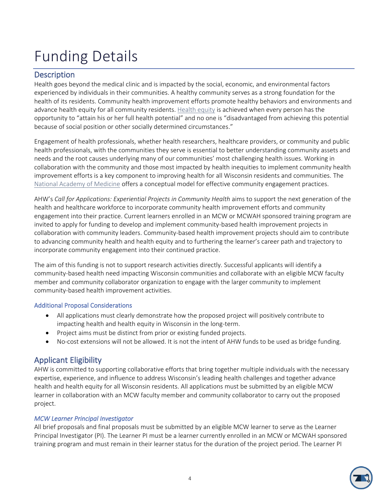## Funding Details

## **Description**

Health goes beyond the medical clinic and is impacted by the social, economic, and environmental factors experienced by individuals in their communities. A healthy community serves as a strong foundation for the health of its residents. Community health improvement efforts promote healthy behaviors and environments and advance health equity for all community residents. [Health equity](https://www.cdc.gov/chronicdisease/healthequity/index.htm) is achieved when every person has the opportunity to "attain his or her full health potential" and no one is "disadvantaged from achieving this potential because of social position or other socially determined circumstances."

Engagement of health professionals, whether health researchers, healthcare providers, or community and public health professionals, with the communities they serve is essential to better understanding community assets and needs and the root causes underlying many of our communities' most challenging health issues. Working in collaboration with the community and those most impacted by health inequities to implement community health improvement efforts is a key component to improving health for all Wisconsin residents and communities. The [National Academy of Medicine](https://nam.edu/assessing-meaningful-community-engagement-a-conceptual-model-to-advance-health-equity-through-transformed-systems-for-health/) offers a conceptual model for effective community engagement practices.

AHW's *Call for Applications: Experiential Projects in Community Health* aims to support the next generation of the health and healthcare workforce to incorporate community health improvement efforts and community engagement into their practice. Current learners enrolled in an MCW or MCWAH sponsored training program are invited to apply for funding to develop and implement community-based health improvement projects in collaboration with community leaders. Community-based health improvement projects should aim to contribute to advancing community health and health equity and to furthering the learner's career path and trajectory to incorporate community engagement into their continued practice.

The aim of this funding is not to support research activities directly. Successful applicants will identify a community-based health need impacting Wisconsin communities and collaborate with an eligible MCW faculty member and community collaborator organization to engage with the larger community to implement community-based health improvement activities.

#### Additional Proposal Considerations

- All applications must clearly demonstrate how the proposed project will positively contribute to impacting health and health equity in Wisconsin in the long-term.
- Project aims must be distinct from prior or existing funded projects.
- No-cost extensions will not be allowed. It is not the intent of AHW funds to be used as bridge funding.

## Applicant Eligibility

AHW is committed to supporting collaborative efforts that bring together multiple individuals with the necessary expertise, experience, and influence to address Wisconsin's leading health challenges and together advance health and health equity for all Wisconsin residents. All applications must be submitted by an eligible MCW learner in collaboration with an MCW faculty member and community collaborator to carry out the proposed project.

#### *MCW Learner Principal Investigator*

All brief proposals and final proposals must be submitted by an eligible MCW learner to serve as the Learner Principal Investigator (PI). The Learner PI must be a learner currently enrolled in an MCW or MCWAH sponsored training program and must remain in their learner status for the duration of the project period. The Learner PI

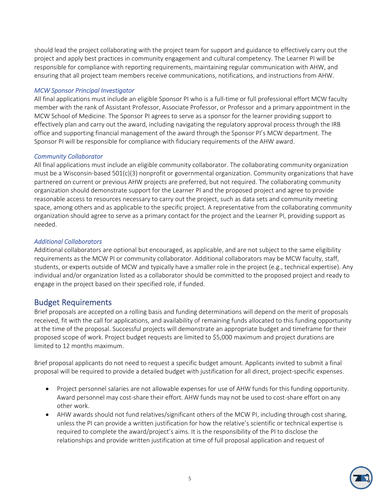should lead the project collaborating with the project team for support and guidance to effectively carry out the project and apply best practices in community engagement and cultural competency. The Learner PI will be responsible for compliance with reporting requirements, maintaining regular communication with AHW, and ensuring that all project team members receive communications, notifications, and instructions from AHW.

#### *MCW Sponsor Principal Investigator*

All final applications must include an eligible Sponsor PI who is a full-time or full professional effort MCW faculty member with the rank of Assistant Professor, Associate Professor, or Professor and a primary appointment in the MCW School of Medicine. The Sponsor PI agrees to serve as a sponsor for the learner providing support to effectively plan and carry out the award, including navigating the regulatory approval process through the IRB office and supporting financial management of the award through the Sponsor PI's MCW department. The Sponsor PI will be responsible for compliance with fiduciary requirements of the AHW award.

#### *Community Collaborator*

All final applications must include an eligible community collaborator. The collaborating community organization must be a Wisconsin-based 501(c)(3) nonprofit or governmental organization. Community organizations that have partnered on current or previous AHW projects are preferred, but not required. The collaborating community organization should demonstrate support for the Learner PI and the proposed project and agree to provide reasonable access to resources necessary to carry out the project, such as data sets and community meeting space, among others and as applicable to the specific project. A representative from the collaborating community organization should agree to serve as a primary contact for the project and the Learner PI, providing support as needed.

#### *Additional Collaborators*

Additional collaborators are optional but encouraged, as applicable, and are not subject to the same eligibility requirements as the MCW PI or community collaborator. Additional collaborators may be MCW faculty, staff, students, or experts outside of MCW and typically have a smaller role in the project (e.g., technical expertise). Any individual and/or organization listed as a collaborator should be committed to the proposed project and ready to engage in the project based on their specified role, if funded.

#### Budget Requirements

Brief proposals are accepted on a rolling basis and funding determinations will depend on the merit of proposals received, fit with the call for applications, and availability of remaining funds allocated to this funding opportunity at the time of the proposal. Successful projects will demonstrate an appropriate budget and timeframe for their proposed scope of work. Project budget requests are limited to \$5,000 maximum and project durations are limited to 12 months maximum.

Brief proposal applicants do not need to request a specific budget amount. Applicants invited to submit a final proposal will be required to provide a detailed budget with justification for all direct, project-specific expenses.

- Project personnel salaries are not allowable expenses for use of AHW funds for this funding opportunity. Award personnel may cost-share their effort. AHW funds may not be used to cost-share effort on any other work.
- AHW awards should not fund relatives/significant others of the MCW PI, including through cost sharing, unless the PI can provide a written justification for how the relative's scientific or technical expertise is required to complete the award/project's aims. It is the responsibility of the PI to disclose the relationships and provide written justification at time of full proposal application and request of

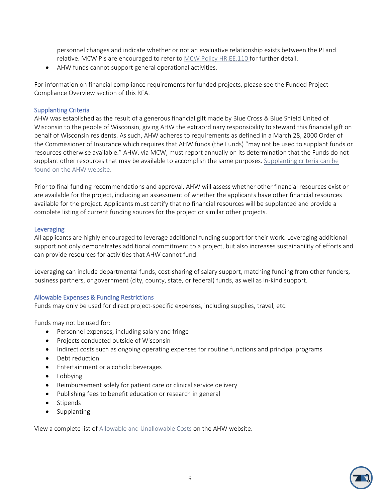personnel changes and indicate whether or not an evaluative relationship exists between the PI and relative. MCW PIs are encouraged to refer to [MCW Policy HR.EE.110](https://infoscope.mcw.edu/Corporate-Policies/Nepotism.htm) for further detail.

• AHW funds cannot support general operational activities.

For information on financial compliance requirements for funded projects, please see the Funded Project Compliance Overview section of this RFA.

#### Supplanting Criteria

AHW was established as the result of a generous financial gift made by Blue Cross & Blue Shield United of Wisconsin to the people of Wisconsin, giving AHW the extraordinary responsibility to steward this financial gift on behalf of Wisconsin residents. As such, AHW adheres to requirements as defined in a March 28, 2000 Order of the Commissioner of Insurance which requires that AHW funds (the Funds) "may not be used to supplant funds or resources otherwise available." AHW, via MCW, must report annually on its determination that the Funds do not supplant other resources that may be available to accomplish the same purposes. Supplanting criteria can be [found on the AHW website.](https://ahwendowment.org/AHW1/HWPPDocumentsForms/SupplantingCriteria_4.2.19.pdf)

Prior to final funding recommendations and approval, AHW will assess whether other financial resources exist or are available for the project, including an assessment of whether the applicants have other financial resources available for the project. Applicants must certify that no financial resources will be supplanted and provide a complete listing of current funding sources for the project or similar other projects.

#### Leveraging

All applicants are highly encouraged to leverage additional funding support for their work. Leveraging additional support not only demonstrates additional commitment to a project, but also increases sustainability of efforts and can provide resources for activities that AHW cannot fund.

Leveraging can include departmental funds, cost-sharing of salary support, matching funding from other funders, business partners, or government (city, county, state, or federal) funds, as well as in-kind support.

#### Allowable Expenses & Funding Restrictions

Funds may only be used for direct project-specific expenses, including supplies, travel, etc.

Funds may not be used for:

- Personnel expenses, including salary and fringe
- Projects conducted outside of Wisconsin
- Indirect costs such as ongoing operating expenses for routine functions and principal programs
- Debt reduction
- Entertainment or alcoholic beverages
- Lobbying
- Reimbursement solely for patient care or clinical service delivery
- Publishing fees to benefit education or research in general
- Stipends
- Supplanting

View a complete list of [Allowable and Unallowable Costs](https://ahwendowment.org/AHW1/HWPPDocumentsForms/HWPPDirectIndirectandUnallowableExpenses_4.2.19.pdf) on the AHW website.

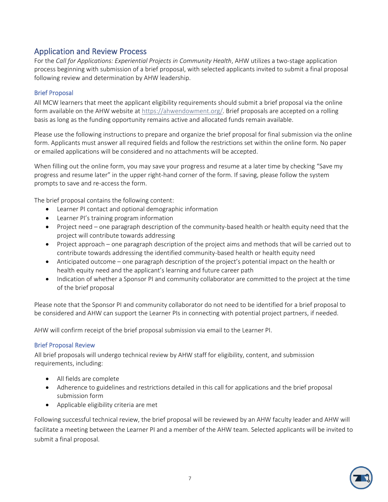## Application and Review Process

For the *Call for Applications: Experiential Projects in Community Health*, AHW utilizes a two-stage application process beginning with submission of a brief proposal, with selected applicants invited to submit a final proposal following review and determination by AHW leadership.

#### Brief Proposal

All MCW learners that meet the applicant eligibility requirements should submit a brief proposal via the online form available on the AHW website at [https://ahwendowment.org/.](https://ahwendowment.org/) Brief proposals are accepted on a rolling basis as long as the funding opportunity remains active and allocated funds remain available.

Please use the following instructions to prepare and organize the brief proposal for final submission via the online form. Applicants must answer all required fields and follow the restrictions set within the online form. No paper or emailed applications will be considered and no attachments will be accepted.

When filling out the online form, you may save your progress and resume at a later time by checking "Save my progress and resume later" in the upper right-hand corner of the form. If saving, please follow the system prompts to save and re-access the form.

The brief proposal contains the following content:

- Learner PI contact and optional demographic information
- Learner PI's training program information
- Project need one paragraph description of the community-based health or health equity need that the project will contribute towards addressing
- Project approach one paragraph description of the project aims and methods that will be carried out to contribute towards addressing the identified community-based health or health equity need
- Anticipated outcome one paragraph description of the project's potential impact on the health or health equity need and the applicant's learning and future career path
- Indication of whether a Sponsor PI and community collaborator are committed to the project at the time of the brief proposal

Please note that the Sponsor PI and community collaborator do not need to be identified for a brief proposal to be considered and AHW can support the Learner PIs in connecting with potential project partners, if needed.

AHW will confirm receipt of the brief proposal submission via email to the Learner PI.

#### Brief Proposal Review

All brief proposals will undergo technical review by AHW staff for eligibility, content, and submission requirements, including:

- All fields are complete
- Adherence to guidelines and restrictions detailed in this call for applications and the brief proposal submission form
- Applicable eligibility criteria are met

Following successful technical review, the brief proposal will be reviewed by an AHW faculty leader and AHW will facilitate a meeting between the Learner PI and a member of the AHW team. Selected applicants will be invited to submit a final proposal.

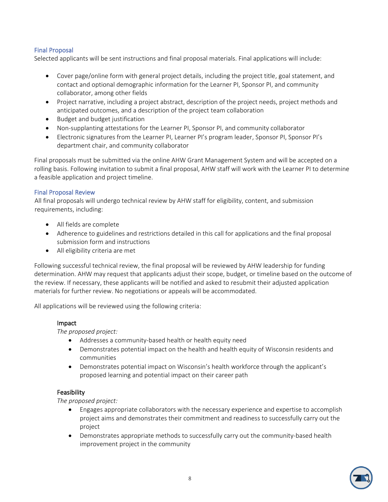#### Final Proposal

Selected applicants will be sent instructions and final proposal materials. Final applications will include:

- Cover page/online form with general project details, including the project title, goal statement, and contact and optional demographic information for the Learner PI, Sponsor PI, and community collaborator, among other fields
- Project narrative, including a project abstract, description of the project needs, project methods and anticipated outcomes, and a description of the project team collaboration
- Budget and budget justification
- Non-supplanting attestations for the Learner PI, Sponsor PI, and community collaborator
- Electronic signatures from the Learner PI, Learner PI's program leader, Sponsor PI, Sponsor PI's department chair, and community collaborator

Final proposals must be submitted via the online AHW Grant Management System and will be accepted on a rolling basis. Following invitation to submit a final proposal, AHW staff will work with the Learner PI to determine a feasible application and project timeline.

#### Final Proposal Review

All final proposals will undergo technical review by AHW staff for eligibility, content, and submission requirements, including:

- All fields are complete
- Adherence to guidelines and restrictions detailed in this call for applications and the final proposal submission form and instructions
- All eligibility criteria are met

Following successful technical review, the final proposal will be reviewed by AHW leadership for funding determination. AHW may request that applicants adjust their scope, budget, or timeline based on the outcome of the review. If necessary, these applicants will be notified and asked to resubmit their adjusted application materials for further review. No negotiations or appeals will be accommodated.

All applications will be reviewed using the following criteria:

#### Impact

*The proposed project:* 

- Addresses a community-based health or health equity need
- Demonstrates potential impact on the health and health equity of Wisconsin residents and communities
- Demonstrates potential impact on Wisconsin's health workforce through the applicant's proposed learning and potential impact on their career path

#### Feasibility

*The proposed project:* 

- Engages appropriate collaborators with the necessary experience and expertise to accomplish project aims and demonstrates their commitment and readiness to successfully carry out the project
- Demonstrates appropriate methods to successfully carry out the community-based health improvement project in the community

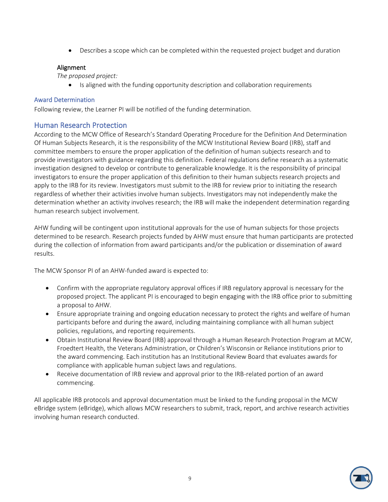• Describes a scope which can be completed within the requested project budget and duration

#### Alignment

*The proposed project:* 

• Is aligned with the funding opportunity description and collaboration requirements

#### Award Determination

Following review, the Learner PI will be notified of the funding determination.

#### Human Research Protection

According to the MCW Office of Research's Standard Operating Procedure for the Definition And Determination Of Human Subjects Research, it is the responsibility of the MCW Institutional Review Board (IRB), staff and committee members to ensure the proper application of the definition of human subjects research and to provide investigators with guidance regarding this definition. Federal regulations define research as a systematic investigation designed to develop or contribute to generalizable knowledge. It is the responsibility of principal investigators to ensure the proper application of this definition to their human subjects research projects and apply to the IRB for its review. Investigators must submit to the IRB for review prior to initiating the research regardless of whether their activities involve human subjects. Investigators may not independently make the determination whether an activity involves research; the IRB will make the independent determination regarding human research subject involvement.

AHW funding will be contingent upon institutional approvals for the use of human subjects for those projects determined to be research. Research projects funded by AHW must ensure that human participants are protected during the collection of information from award participants and/or the publication or dissemination of award results.

The MCW Sponsor PI of an AHW-funded award is expected to:

- Confirm with the appropriate regulatory approval offices if IRB regulatory approval is necessary for the proposed project. The applicant PI is encouraged to begin engaging with the IRB office prior to submitting a proposal to AHW.
- Ensure appropriate training and ongoing education necessary to protect the rights and welfare of human participants before and during the award, including maintaining compliance with all human subject policies, regulations, and reporting requirements.
- Obtain Institutional Review Board (IRB) approval through a Human Research Protection Program at MCW, Froedtert Health, the Veterans Administration, or Children's Wisconsin or Reliance institutions prior to the award commencing. Each institution has an Institutional Review Board that evaluates awards for compliance with applicable human subject laws and regulations.
- Receive documentation of IRB review and approval prior to the IRB-related portion of an award commencing.

All applicable IRB protocols and approval documentation must be linked to the funding proposal in the MCW eBridge system (eBridge), which allows MCW researchers to submit, track, report, and archive research activities involving human research conducted.

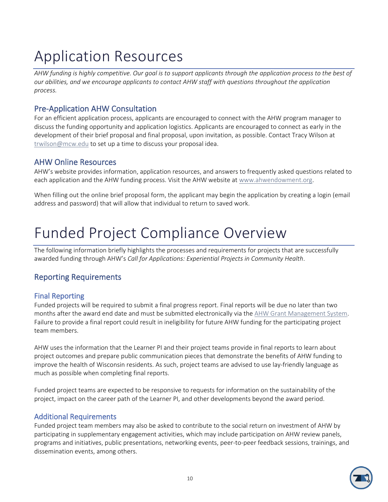## Application Resources

*AHW funding is highly competitive. Our goal is to support applicants through the application process to the best of our abilities, and we encourage applicants to contact AHW staff with questions throughout the application process.*

## Pre-Application AHW Consultation

For an efficient application process, applicants are encouraged to connect with the AHW program manager to discuss the funding opportunity and application logistics. Applicants are encouraged to connect as early in the development of their brief proposal and final proposal, upon invitation, as possible. Contact Tracy Wilson at [trwilson@mcw.edu](mailto:trwilson@mcw.edu) to set up a time to discuss your proposal idea.

## AHW Online Resources

AHW's website provides information, application resources, and answers to frequently asked questions related to each application and the AHW funding process. Visit the AHW website at [www.ahwendowment.org.](http://www.ahwendowment.org/)

When filling out the online brief proposal form, the applicant may begin the application by creating a login (email address and password) that will allow that individual to return to saved work.

## Funded Project Compliance Overview

The following information briefly highlights the processes and requirements for projects that are successfully awarded funding through AHW's *Call for Applications: Experiential Projects in Community Health*.

## Reporting Requirements

## Final Reporting

Funded projects will be required to submit a final progress report. Final reports will be due no later than two months after the award end date and must be submitted electronically via the [AHW Grant Management System.](https://ahwendowment.force.com/s/login/?ec=302&startURL=%2Fs%2F) Failure to provide a final report could result in ineligibility for future AHW funding for the participating project team members.

AHW uses the information that the Learner PI and their project teams provide in final reports to learn about project outcomes and prepare public communication pieces that demonstrate the benefits of AHW funding to improve the health of Wisconsin residents. As such, project teams are advised to use lay-friendly language as much as possible when completing final reports.

Funded project teams are expected to be responsive to requests for information on the sustainability of the project, impact on the career path of the Learner PI, and other developments beyond the award period.

#### Additional Requirements

Funded project team members may also be asked to contribute to the social return on investment of AHW by participating in supplementary engagement activities, which may include participation on AHW review panels, programs and initiatives, public presentations, networking events, peer-to-peer feedback sessions, trainings, and dissemination events, among others.

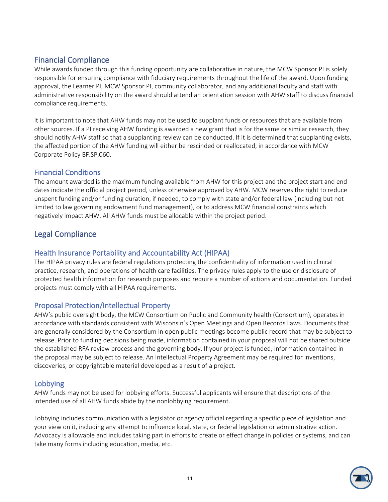## Financial Compliance

While awards funded through this funding opportunity are collaborative in nature, the MCW Sponsor PI is solely responsible for ensuring compliance with fiduciary requirements throughout the life of the award. Upon funding approval, the Learner PI, MCW Sponsor PI, community collaborator, and any additional faculty and staff with administrative responsibility on the award should attend an orientation session with AHW staff to discuss financial compliance requirements.

It is important to note that AHW funds may not be used to supplant funds or resources that are available from other sources. If a PI receiving AHW funding is awarded a new grant that is for the same or similar research, they should notify AHW staff so that a supplanting review can be conducted. If it is determined that supplanting exists, the affected portion of the AHW funding will either be rescinded or reallocated, in accordance with MCW Corporate Policy BF.SP.060.

## Financial Conditions

The amount awarded is the maximum funding available from AHW for this project and the project start and end dates indicate the official project period, unless otherwise approved by AHW. MCW reserves the right to reduce unspent funding and/or funding duration, if needed, to comply with state and/or federal law (including but not limited to law governing endowment fund management), or to address MCW financial constraints which negatively impact AHW. All AHW funds must be allocable within the project period.

## Legal Compliance

## Health Insurance Portability and Accountability Act (HIPAA)

The HIPAA privacy rules are federal regulations protecting the confidentiality of information used in clinical practice, research, and operations of health care facilities. The privacy rules apply to the use or disclosure of protected health information for research purposes and require a number of actions and documentation. Funded projects must comply with all HIPAA requirements.

## Proposal Protection/Intellectual Property

AHW's public oversight body, the MCW Consortium on Public and Community health (Consortium), operates in accordance with standards consistent with Wisconsin's Open Meetings and Open Records Laws. Documents that are generally considered by the Consortium in open public meetings become public record that may be subject to release. Prior to funding decisions being made, information contained in your proposal will not be shared outside the established RFA review process and the governing body. If your project is funded, information contained in the proposal may be subject to release. An Intellectual Property Agreement may be required for inventions, discoveries, or copyrightable material developed as a result of a project.

## Lobbying

AHW funds may not be used for lobbying efforts. Successful applicants will ensure that descriptions of the intended use of all AHW funds abide by the nonlobbying requirement.

Lobbying includes communication with a legislator or agency official regarding a specific piece of legislation and your view on it, including any attempt to influence local, state, or federal legislation or administrative action. Advocacy is allowable and includes taking part in efforts to create or effect change in policies or systems, and can take many forms including education, media, etc.

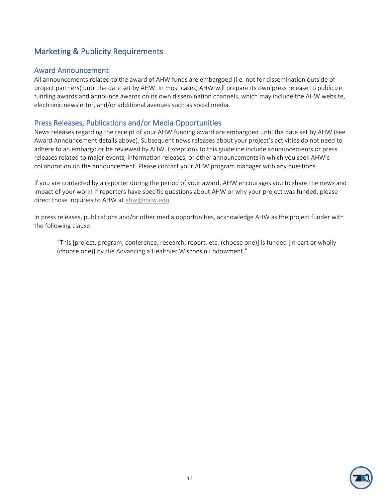## Marketing & Publicity Requirements

#### Award Announcement

All announcements related to the award of AHW funds are embargoed (i.e. not for dissemination outside of project partners) until the date set by AHW. In most cases, AHW will prepare its own press release to publicize funding awards and announce awards on its own dissemination channels, which may include the AHW website, electronic newsletter, and/or additional avenues such as social media.

### Press Releases, Publications and/or Media Opportunities

News releases regarding the receipt of your AHW funding award are embargoed until the date set by AHW (see Award Announcement details above). Subsequent news releases about your project's activities do not need to adhere to an embargo or be reviewed by AHW. Exceptions to this guideline include announcements or press releases related to major events, information releases, or other announcements in which you seek AHW's collaboration on the announcement. Please contact your AHW program manager with any questions.

If you are contacted by a reporter during the period of your award, AHW encourages you to share the news and impact of your work! If reporters have specific questions about AHW or why your project was funded, please direct those inquiries to AHW at [ahw@mcw.edu.](mailto:ahw@mcw.edu)

In press releases, publications and/or other media opportunities, acknowledge AHW as the project funder with the following clause:

"This [project, program, conference, research, report, etc. (choose one)] is funded [in part or wholly (choose one)] by the Advancing a Healthier Wisconsin Endowment."

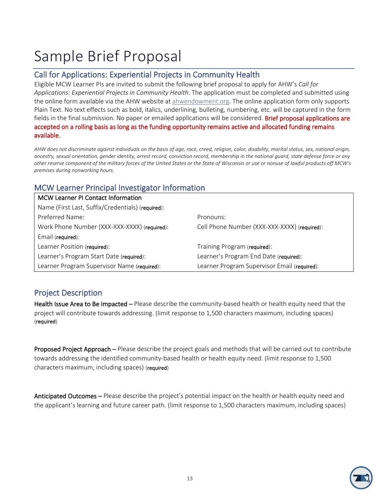## Sample Brief Proposal

## Call for Applications: Experiential Projects in Community Health

Eligible MCW Learner PIs are invited to submit the following brief proposal to apply for AHW's *Call for Applications: Experiential Projects in Community Health*. The application must be completed and submitted using the online form available via the AHW website at [ahwendowment.org.](https://ahwendowment.org/AHW.htm) The online application form only supports Plain Text. No text effects such as bold, italics, underlining, bulleting, numbering, etc. will be captured in the form fields in the final submission. No paper or emailed applications will be considered. Brief proposal applications are accepted on a rolling basis as long as the funding opportunity remains active and allocated funding remains available.

*AHW does not discriminate against individuals on the basis of age, race, creed, religion, color, disability, marital status, sex, national origin, ancestry, sexual orientation, gender identity, arrest record, conviction record, membership in the national guard, state defense force or any other reserve component of the military forces of the United States or the State of Wisconsin or use or nonuse of lawful products off MCW's premises during nonworking hours.*

## MCW Learner Principal Investigator Information

| MCW Learner PI Contact Information                |                                              |  |  |  |
|---------------------------------------------------|----------------------------------------------|--|--|--|
| Name (First Last, Suffix/Credentials) (required): |                                              |  |  |  |
| Preferred Name:                                   | Pronouns:                                    |  |  |  |
| Work Phone Number (XXX-XXX-XXXX) (required):      | Cell Phone Number (XXX-XXX-XXXX) (required): |  |  |  |
| Email (required):                                 |                                              |  |  |  |
| Learner Position (required):                      | Training Program (required):                 |  |  |  |
| Learner's Program Start Date (required):          | Learner's Program End Date (required):       |  |  |  |
| Learner Program Supervisor Name (required):       | Learner Program Supervisor Email (required): |  |  |  |

## Project Description

Health Issue Area to Be Impacted – Please describe the community-based health or health equity need that the project will contribute towards addressing. (limit response to 1,500 characters maximum, including spaces) (required)

Proposed Project Approach – Please describe the project goals and methods that will be carried out to contribute towards addressing the identified community-based health or health equity need. (limit response to 1,500 characters maximum, including spaces) (required)

Anticipated Outcomes – Please describe the project's potential impact on the health or health equity need and the applicant's learning and future career path. (limit response to 1,500 characters maximum, including spaces)

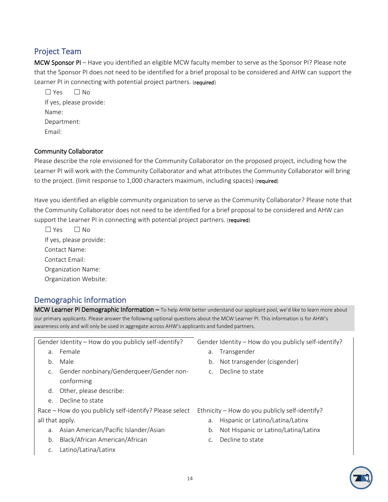## Project Team

MCW Sponsor PI – Have you identified an eligible MCW faculty member to serve as the Sponsor PI? Please note that the Sponsor PI does not need to be identified for a brief proposal to be considered and AHW can support the Learner PI in connecting with potential project partners. (required)

 $\Box$  Yes  $\Box$  No If yes, please provide: Name: Department: Email:

#### Community Collaborator

Please describe the role envisioned for the Community Collaborator on the proposed project, including how the Learner PI will work with the Community Collaborator and what attributes the Community Collaborator will bring to the project. (limit response to 1,000 characters maximum, including spaces) (required)

Have you identified an eligible community organization to serve as the Community Collaborator? Please note that the Community Collaborator does not need to be identified for a brief proposal to be considered and AHW can support the Learner PI in connecting with potential project partners. (required)

 $\Box$  Yes  $\Box$  No If yes, please provide: Contact Name: Contact Email: Organization Name: Organization Website:

## Demographic Information

MCW Learner PI Demographic Information - To help AHW better understand our applicant pool, we'd like to learn more about our primary applicants. Please answer the following optional questions about the MCW Learner PI. This information is for AHW's awareness only and will only be used in aggregate across AHW's applicants and funded partners.

Gender Identity – How do you publicly self-identify?

- a. Female
- b. Male
- c. Gender nonbinary/Genderqueer/Gender nonconforming
- d. Other, please describe:
- e. Decline to state

Race – How do you publicly self-identify? Please select Ethnicity – How do you publicly self-identify? all that apply.

- a. Asian American/Pacific Islander/Asian
- b. Black/African American/African
- c. Latino/Latina/Latinx
- Gender Identity How do you publicly self-identify?
	- a. Transgender
	- b. Not transgender (cisgender)
	- c. Decline to state
- - a. Hispanic or Latino/Latina/Latinx
	- b. Not Hispanic or Latino/Latina/Latinx
	- c. Decline to state